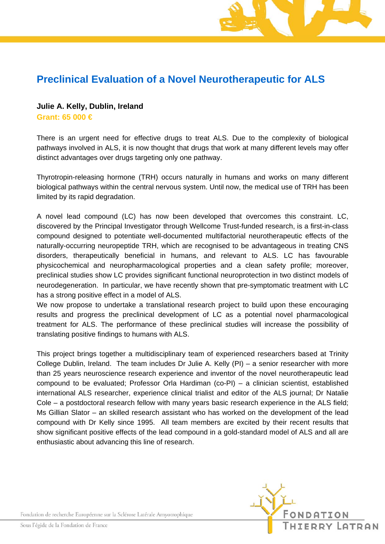## **Preclinical Evaluation of a Novel Neurotherapeutic for ALS**

## **Julie A. Kelly, Dublin, Ireland Grant: 65 000 €**

There is an urgent need for effective drugs to treat ALS. Due to the complexity of biological pathways involved in ALS, it is now thought that drugs that work at many different levels may offer distinct advantages over drugs targeting only one pathway.

Thyrotropin-releasing hormone (TRH) occurs naturally in humans and works on many different biological pathways within the central nervous system. Until now, the medical use of TRH has been limited by its rapid degradation.

A novel lead compound (LC) has now been developed that overcomes this constraint. LC, discovered by the Principal Investigator through Wellcome Trust-funded research, is a first-in-class compound designed to potentiate well-documented multifactorial neurotherapeutic effects of the naturally-occurring neuropeptide TRH, which are recognised to be advantageous in treating CNS disorders, therapeutically beneficial in humans, and relevant to ALS. LC has favourable physicochemical and neuropharmacological properties and a clean safety profile; moreover, preclinical studies show LC provides significant functional neuroprotection in two distinct models of neurodegeneration. In particular, we have recently shown that pre-symptomatic treatment with LC has a strong positive effect in a model of ALS.

We now propose to undertake a translational research project to build upon these encouraging results and progress the preclinical development of LC as a potential novel pharmacological treatment for ALS. The performance of these preclinical studies will increase the possibility of translating positive findings to humans with ALS.

This project brings together a multidisciplinary team of experienced researchers based at Trinity College Dublin, Ireland. The team includes Dr Julie A. Kelly (PI) – a senior researcher with more than 25 years neuroscience research experience and inventor of the novel neurotherapeutic lead compound to be evaluated; Professor Orla Hardiman (co-PI) – a clinician scientist, established international ALS researcher, experience clinical trialist and editor of the ALS journal; Dr Natalie Cole – a postdoctoral research fellow with many years basic research experience in the ALS field; Ms Gillian Slator – an skilled research assistant who has worked on the development of the lead compound with Dr Kelly since 1995. All team members are excited by their recent results that show significant positive effects of the lead compound in a gold-standard model of ALS and all are enthusiastic about advancing this line of research.



Fondation de recherche Européenne sur la Sclérose Latérale Amyotrophique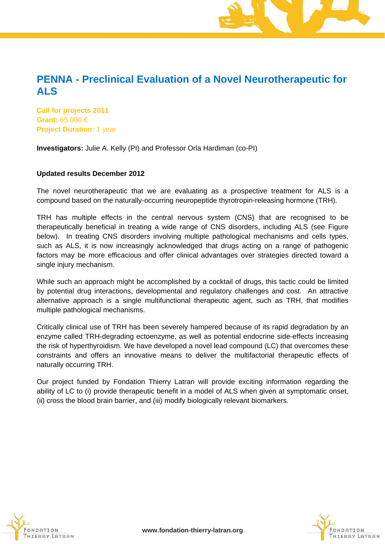## **PENNA - Preclinical Evaluation of a Novel Neurotherapeutic for ALS**

**Call for projects 2011 Grant:** 65 000 € **Project Duration:** 1 year

**Investigators:** Julie A. Kelly (PI) and Professor Orla Hardiman (co-PI)

## **Updated results December 2012**

The novel neurotherapeutic that we are evaluating as a prospective treatment for ALS is a compound based on the naturally-occurring neuropeptide thyrotropin-releasing hormone (TRH).

TRH has multiple effects in the central nervous system (CNS) that are recognised to be therapeutically beneficial in treating a wide range of CNS disorders, including ALS (see Figure below). In treating CNS disorders involving multiple pathological mechanisms and cells types, such as ALS, it is now increasingly acknowledged that drugs acting on a range of pathogenic factors may be more efficacious and offer clinical advantages over strategies directed toward a single injury mechanism.

While such an approach might be accomplished by a cocktail of drugs, this tactic could be limited by potential drug interactions, developmental and regulatory challenges and cost. An attractive alternative approach is a single multifunctional therapeutic agent, such as TRH, that modifies multiple pathological mechanisms.

Critically clinical use of TRH has been severely hampered because of its rapid degradation by an enzyme called TRH-degrading ectoenzyme, as well as potential endocrine side-effects increasing the risk of hyperthyroidism. We have developed a novel lead compound (LC) that overcomes these constraints and offers an innovative means to deliver the multifactorial therapeutic effects of naturally occurring TRH.

Our project funded by Fondation Thierry Latran will provide exciting information regarding the ability of LC to (i) provide therapeutic benefit in a model of ALS when given at symptomatic onset, (ii) cross the blood brain barrier, and (iii) modify biologically relevant biomarkers.